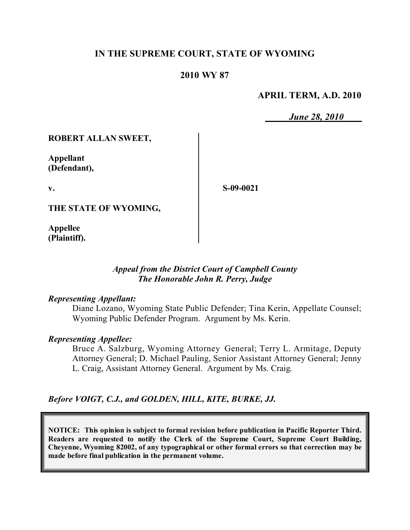# **IN THE SUPREME COURT, STATE OF WYOMING**

## **2010 WY 87**

#### **APRIL TERM, A.D. 2010**

*June 28, 2010*

#### **ROBERT ALLAN SWEET,**

**Appellant (Defendant),**

**v.**

**S-09-0021**

**THE STATE OF WYOMING,**

**Appellee (Plaintiff).**

#### *Appeal from the District Court of Campbell County The Honorable John R. Perry, Judge*

#### *Representing Appellant:*

Diane Lozano, Wyoming State Public Defender; Tina Kerin, Appellate Counsel; Wyoming Public Defender Program. Argument by Ms. Kerin.

#### *Representing Appellee:*

Bruce A. Salzburg, Wyoming Attorney General; Terry L. Armitage, Deputy Attorney General; D. Michael Pauling, Senior Assistant Attorney General; Jenny L. Craig, Assistant Attorney General. Argument by Ms. Craig.

#### *Before VOIGT, C.J., and GOLDEN, HILL, KITE, BURKE, JJ.*

**NOTICE: This opinion is subject to formal revision before publication in Pacific Reporter Third. Readers are requested to notify the Clerk of the Supreme Court, Supreme Court Building, Cheyenne, Wyoming 82002, of any typographical or other formal errors so that correction may be made before final publication in the permanent volume.**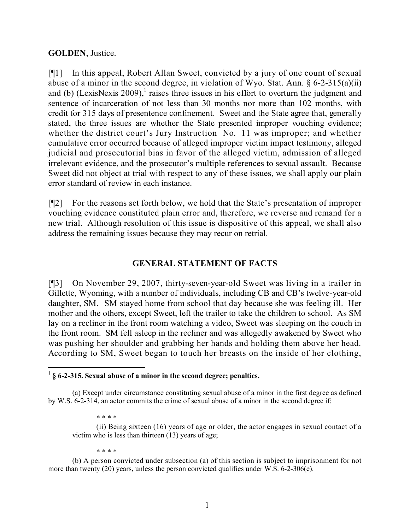#### **GOLDEN**, Justice.

[¶1] In this appeal, Robert Allan Sweet, convicted by a jury of one count of sexual abuse of a minor in the second degree, in violation of Wyo. Stat. Ann.  $\S 6$ -2-315(a)(ii) and (b) (LexisNexis 2009), 1 raises three issues in his effort to overturn the judgment and sentence of incarceration of not less than 30 months nor more than 102 months, with credit for 315 days of presentence confinement. Sweet and the State agree that, generally stated, the three issues are whether the State presented improper vouching evidence; whether the district court's Jury Instruction No. 11 was improper; and whether cumulative error occurred because of alleged improper victim impact testimony, alleged judicial and prosecutorial bias in favor of the alleged victim, admission of alleged irrelevant evidence, and the prosecutor's multiple references to sexual assault. Because Sweet did not object at trial with respect to any of these issues, we shall apply our plain error standard of review in each instance.

[¶2] For the reasons set forth below, we hold that the State's presentation of improper vouching evidence constituted plain error and, therefore, we reverse and remand for a new trial. Although resolution of this issue is dispositive of this appeal, we shall also address the remaining issues because they may recur on retrial.

# **GENERAL STATEMENT OF FACTS**

[¶3] On November 29, 2007, thirty-seven-year-old Sweet was living in a trailer in Gillette, Wyoming, with a number of individuals, including CB and CB's twelve-year-old daughter, SM. SM stayed home from school that day because she was feeling ill. Her mother and the others, except Sweet, left the trailer to take the children to school. As SM lay on a recliner in the front room watching a video, Sweet was sleeping on the couch in the front room. SM fell asleep in the recliner and was allegedly awakened by Sweet who was pushing her shoulder and grabbing her hands and holding them above her head. According to SM, Sweet began to touch her breasts on the inside of her clothing,

\* \* \* \*

(ii) Being sixteen (16) years of age or older, the actor engages in sexual contact of a victim who is less than thirteen (13) years of age;

\* \* \* \*

(b) A person convicted under subsection (a) of this section is subject to imprisonment for not more than twenty (20) years, unless the person convicted qualifies under W.S. 6-2-306(e).

 $\overline{a}$ 1 **§ 6-2-315. Sexual abuse of a minor in the second degree; penalties.**

<sup>(</sup>a) Except under circumstance constituting sexual abuse of a minor in the first degree as defined by W.S. 6-2-314, an actor commits the crime of sexual abuse of a minor in the second degree if: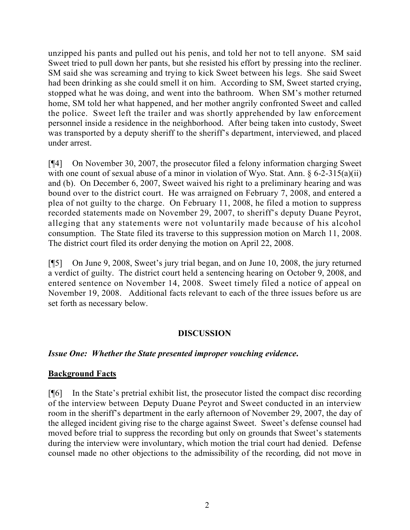unzipped his pants and pulled out his penis, and told her not to tell anyone. SM said Sweet tried to pull down her pants, but she resisted his effort by pressing into the recliner. SM said she was screaming and trying to kick Sweet between his legs. She said Sweet had been drinking as she could smell it on him. According to SM, Sweet started crying, stopped what he was doing, and went into the bathroom. When SM's mother returned home, SM told her what happened, and her mother angrily confronted Sweet and called the police. Sweet left the trailer and was shortly apprehended by law enforcement personnel inside a residence in the neighborhood. After being taken into custody, Sweet was transported by a deputy sheriff to the sheriff's department, interviewed, and placed under arrest.

[¶4] On November 30, 2007, the prosecutor filed a felony information charging Sweet with one count of sexual abuse of a minor in violation of Wyo. Stat. Ann. § 6-2-315(a)(ii) and (b). On December 6, 2007, Sweet waived his right to a preliminary hearing and was bound over to the district court. He was arraigned on February 7, 2008, and entered a plea of not guilty to the charge. On February 11, 2008, he filed a motion to suppress recorded statements made on November 29, 2007, to sheriff's deputy Duane Peyrot, alleging that any statements were not voluntarily made because of his alcohol consumption. The State filed its traverse to this suppression motion on March 11, 2008. The district court filed its order denying the motion on April 22, 2008.

[¶5] On June 9, 2008, Sweet's jury trial began, and on June 10, 2008, the jury returned a verdict of guilty. The district court held a sentencing hearing on October 9, 2008, and entered sentence on November 14, 2008. Sweet timely filed a notice of appeal on November 19, 2008. Additional facts relevant to each of the three issues before us are set forth as necessary below.

## **DISCUSSION**

## *Issue One: Whether the State presented improper vouching evidence***.**

## **Background Facts**

[¶6] In the State's pretrial exhibit list, the prosecutor listed the compact disc recording of the interview between Deputy Duane Peyrot and Sweet conducted in an interview room in the sheriff's department in the early afternoon of November 29, 2007, the day of the alleged incident giving rise to the charge against Sweet. Sweet's defense counsel had moved before trial to suppress the recording but only on grounds that Sweet's statements during the interview were involuntary, which motion the trial court had denied. Defense counsel made no other objections to the admissibility of the recording, did not move in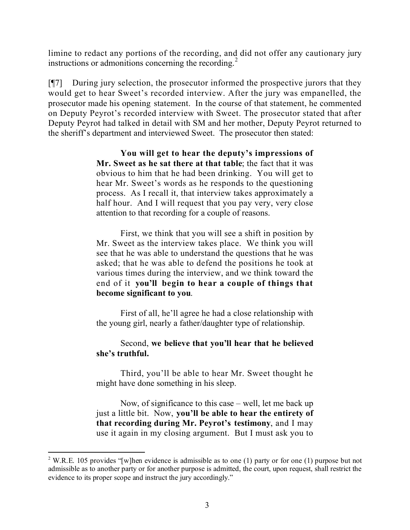limine to redact any portions of the recording, and did not offer any cautionary jury instructions or admonitions concerning the recording.<sup>2</sup>

[¶7] During jury selection, the prosecutor informed the prospective jurors that they would get to hear Sweet's recorded interview. After the jury was empanelled, the prosecutor made his opening statement. In the course of that statement, he commented on Deputy Peyrot's recorded interview with Sweet. The prosecutor stated that after Deputy Peyrot had talked in detail with SM and her mother, Deputy Peyrot returned to the sheriff's department and interviewed Sweet. The prosecutor then stated:

> **You will get to hear the deputy's impressions of Mr. Sweet as he sat there at that table**; the fact that it was obvious to him that he had been drinking. You will get to hear Mr. Sweet's words as he responds to the questioning process. As I recall it, that interview takes approximately a half hour. And I will request that you pay very, very close attention to that recording for a couple of reasons.

> First, we think that you will see a shift in position by Mr. Sweet as the interview takes place. We think you will see that he was able to understand the questions that he was asked; that he was able to defend the positions he took at various times during the interview, and we think toward the end of it **you'll begin to hear a couple of things that become significant to you**.

> First of all, he'll agree he had a close relationship with the young girl, nearly a father/daughter type of relationship.

# Second, **we believe that you'll hear that he believed she's truthful.**

Third, you'll be able to hear Mr. Sweet thought he might have done something in his sleep.

Now, of significance to this case – well, let me back up just a little bit. Now, **you'll be able to hear the entirety of that recording during Mr. Peyrot's testimony**, and I may use it again in my closing argument. But I must ask you to

<sup>2</sup> W.R.E. 105 provides "[w]hen evidence is admissible as to one (1) party or for one (1) purpose but not admissible as to another party or for another purpose is admitted, the court, upon request, shall restrict the evidence to its proper scope and instruct the jury accordingly."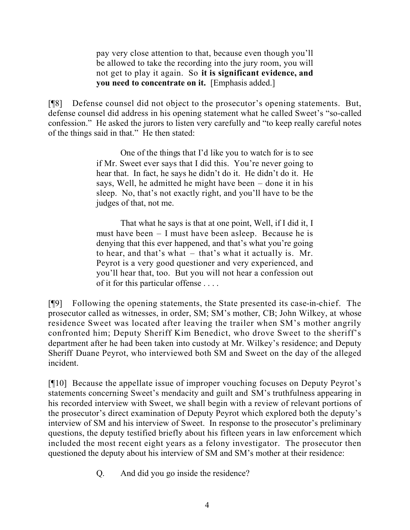pay very close attention to that, because even though you'll be allowed to take the recording into the jury room, you will not get to play it again. So **it is significant evidence, and you need to concentrate on it.** [Emphasis added.]

[¶8] Defense counsel did not object to the prosecutor's opening statements. But, defense counsel did address in his opening statement what he called Sweet's "so-called confession." He asked the jurors to listen very carefully and "to keep really careful notes of the things said in that." He then stated:

> One of the things that I'd like you to watch for is to see if Mr. Sweet ever says that I did this. You're never going to hear that. In fact, he says he didn't do it. He didn't do it. He says, Well, he admitted he might have been – done it in his sleep. No, that's not exactly right, and you'll have to be the judges of that, not me.

> That what he says is that at one point, Well, if I did it, I must have been – I must have been asleep. Because he is denying that this ever happened, and that's what you're going to hear, and that's what – that's what it actually is. Mr. Peyrot is a very good questioner and very experienced, and you'll hear that, too. But you will not hear a confession out of it for this particular offense . . . .

[¶9] Following the opening statements, the State presented its case-in-chief. The prosecutor called as witnesses, in order, SM; SM's mother, CB; John Wilkey, at whose residence Sweet was located after leaving the trailer when SM's mother angrily confronted him; Deputy Sheriff Kim Benedict, who drove Sweet to the sheriff's department after he had been taken into custody at Mr. Wilkey's residence; and Deputy Sheriff Duane Peyrot, who interviewed both SM and Sweet on the day of the alleged incident.

[¶10] Because the appellate issue of improper vouching focuses on Deputy Peyrot's statements concerning Sweet's mendacity and guilt and SM's truthfulness appearing in his recorded interview with Sweet, we shall begin with a review of relevant portions of the prosecutor's direct examination of Deputy Peyrot which explored both the deputy's interview of SM and his interview of Sweet. In response to the prosecutor's preliminary questions, the deputy testified briefly about his fifteen years in law enforcement which included the most recent eight years as a felony investigator. The prosecutor then questioned the deputy about his interview of SM and SM's mother at their residence:

Q. And did you go inside the residence?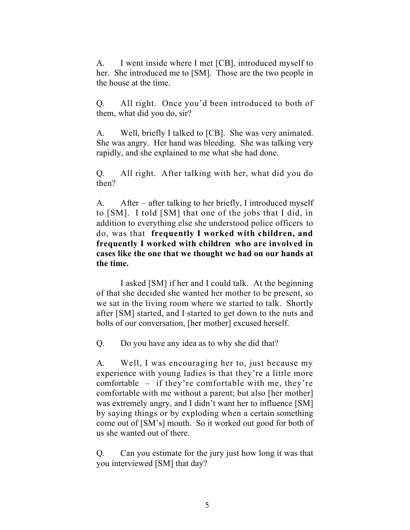A. I went inside where I met [CB], introduced myself to her. She introduced me to [SM]. Those are the two people in the house at the time.

Q. All right. Once you'd been introduced to both of them, what did you do, sir?

A. Well, briefly I talked to [CB]. She was very animated. She was angry. Her hand was bleeding. She was talking very rapidly, and she explained to me what she had done.

Q. All right. After talking with her, what did you do then?

A. After – after talking to her briefly, I introduced myself to [SM]. I told [SM] that one of the jobs that I did, in addition to everything else she understood police officers to do, was that **frequently I worked with children, and frequently I worked with children who are involved in cases like the one that we thought we had on our hands at the time.**

I asked [SM] if her and I could talk. At the beginning of that she decided she wanted her mother to be present, so we sat in the living room where we started to talk. Shortly after [SM] started, and I started to get down to the nuts and bolts of our conversation, [her mother] excused herself.

Q. Do you have any idea as to why she did that?

A. Well, I was encouraging her to, just because my experience with young ladies is that they're a little more comfortable – if they're comfortable with me, they're comfortable with me without a parent; but also [her mother] was extremely angry, and I didn't want her to influence [SM] by saying things or by exploding when a certain something come out of [SM's] mouth. So it worked out good for both of us she wanted out of there.

Q. Can you estimate for the jury just how long it was that you interviewed [SM] that day?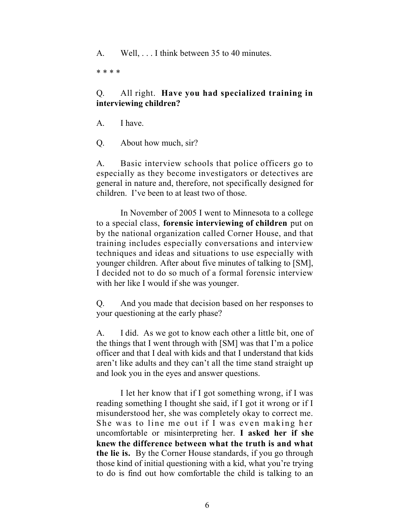A. Well, . . . I think between 35 to 40 minutes.

\* \* \* \*

# Q. All right. **Have you had specialized training in interviewing children?**

- A. I have.
- Q. About how much, sir?

A. Basic interview schools that police officers go to especially as they become investigators or detectives are general in nature and, therefore, not specifically designed for children. I've been to at least two of those.

In November of 2005 I went to Minnesota to a college to a special class, **forensic interviewing of children** put on by the national organization called Corner House, and that training includes especially conversations and interview techniques and ideas and situations to use especially with younger children. After about five minutes of talking to [SM], I decided not to do so much of a formal forensic interview with her like I would if she was younger.

Q. And you made that decision based on her responses to your questioning at the early phase?

A. I did. As we got to know each other a little bit, one of the things that I went through with [SM] was that I'm a police officer and that I deal with kids and that I understand that kids aren't like adults and they can't all the time stand straight up and look you in the eyes and answer questions.

I let her know that if I got something wrong, if I was reading something I thought she said, if I got it wrong or if I misunderstood her, she was completely okay to correct me. She was to line me out if I was even making her uncomfortable or misinterpreting her. **I asked her if she knew the difference between what the truth is and what the lie is.** By the Corner House standards, if you go through those kind of initial questioning with a kid, what you're trying to do is find out how comfortable the child is talking to an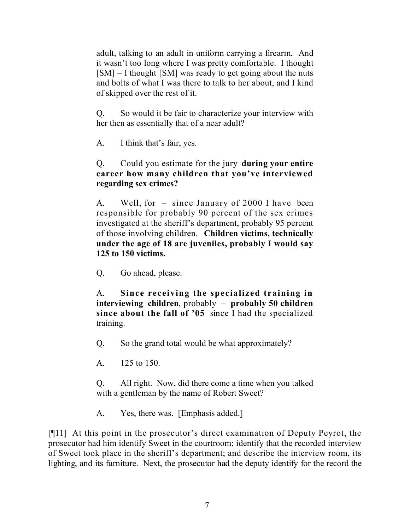adult, talking to an adult in uniform carrying a firearm. And it wasn't too long where I was pretty comfortable. I thought [SM] – I thought [SM] was ready to get going about the nuts and bolts of what I was there to talk to her about, and I kind of skipped over the rest of it.

Q. So would it be fair to characterize your interview with her then as essentially that of a near adult?

A. I think that's fair, yes.

# Q. Could you estimate for the jury **during your entire career how many children that you've interviewed regarding sex crimes?**

A. Well, for – since January of 2000 I have been responsible for probably 90 percent of the sex crimes investigated at the sheriff's department, probably 95 percent of those involving children. **Children victims, technically under the age of 18 are juveniles, probably I would say 125 to 150 victims.**

Q. Go ahead, please.

A. **Since receiving the specialized training in interviewing children**, probably – **probably 50 children since about the fall of '05** since I had the specialized training.

Q. So the grand total would be what approximately?

A. 125 to 150.

Q. All right. Now, did there come a time when you talked with a gentleman by the name of Robert Sweet?

A. Yes, there was. [Emphasis added.]

[¶11] At this point in the prosecutor's direct examination of Deputy Peyrot, the prosecutor had him identify Sweet in the courtroom; identify that the recorded interview of Sweet took place in the sheriff's department; and describe the interview room, its lighting, and its furniture. Next, the prosecutor had the deputy identify for the record the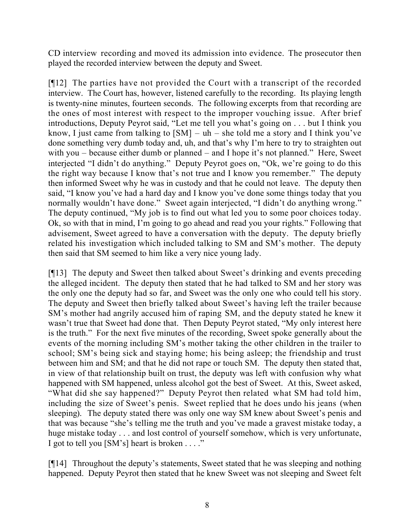CD interview recording and moved its admission into evidence. The prosecutor then played the recorded interview between the deputy and Sweet.

[¶12] The parties have not provided the Court with a transcript of the recorded interview. The Court has, however, listened carefully to the recording. Its playing length is twenty-nine minutes, fourteen seconds. The following excerpts from that recording are the ones of most interest with respect to the improper vouching issue. After brief introductions, Deputy Peyrot said, "Let me tell you what's going on . . . but I think you know, I just came from talking to  $[SM] - uh - she$  told me a story and I think you've done something very dumb today and, uh, and that's why I'm here to try to straighten out with you – because either dumb or planned – and I hope it's not planned." Here, Sweet interjected "I didn't do anything." Deputy Peyrot goes on, "Ok, we're going to do this the right way because I know that's not true and I know you remember." The deputy then informed Sweet why he was in custody and that he could not leave. The deputy then said, "I know you've had a hard day and I know you've done some things today that you normally wouldn't have done." Sweet again interjected, "I didn't do anything wrong." The deputy continued, "My job is to find out what led you to some poor choices today. Ok, so with that in mind, I'm going to go ahead and read you your rights." Following that advisement, Sweet agreed to have a conversation with the deputy. The deputy briefly related his investigation which included talking to SM and SM's mother. The deputy then said that SM seemed to him like a very nice young lady.

[¶13] The deputy and Sweet then talked about Sweet's drinking and events preceding the alleged incident. The deputy then stated that he had talked to SM and her story was the only one the deputy had so far, and Sweet was the only one who could tell his story. The deputy and Sweet then briefly talked about Sweet's having left the trailer because SM's mother had angrily accused him of raping SM, and the deputy stated he knew it wasn't true that Sweet had done that. Then Deputy Peyrot stated, "My only interest here is the truth." For the next five minutes of the recording, Sweet spoke generally about the events of the morning including SM's mother taking the other children in the trailer to school; SM's being sick and staying home; his being asleep; the friendship and trust between him and SM; and that he did not rape or touch SM. The deputy then stated that, in view of that relationship built on trust, the deputy was left with confusion why what happened with SM happened, unless alcohol got the best of Sweet. At this, Sweet asked, "What did she say happened?" Deputy Peyrot then related what SM had told him, including the size of Sweet's penis. Sweet replied that he does undo his jeans (when sleeping). The deputy stated there was only one way SM knew about Sweet's penis and that was because "she's telling me the truth and you've made a gravest mistake today, a huge mistake today . . . and lost control of yourself somehow, which is very unfortunate, I got to tell you [SM's] heart is broken . . . ."

[¶14] Throughout the deputy's statements, Sweet stated that he was sleeping and nothing happened. Deputy Peyrot then stated that he knew Sweet was not sleeping and Sweet felt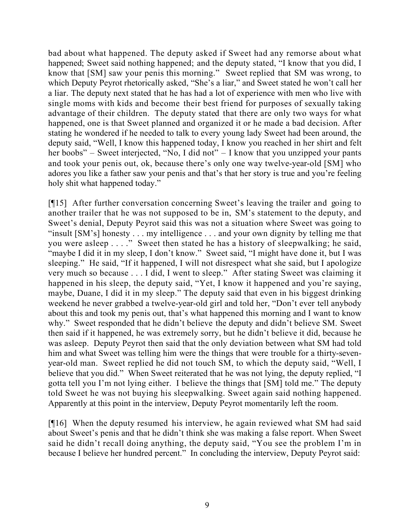bad about what happened. The deputy asked if Sweet had any remorse about what happened; Sweet said nothing happened; and the deputy stated, "I know that you did, I know that [SM] saw your penis this morning." Sweet replied that SM was wrong, to which Deputy Peyrot rhetorically asked, "She's a liar," and Sweet stated he won't call her a liar. The deputy next stated that he has had a lot of experience with men who live with single moms with kids and become their best friend for purposes of sexually taking advantage of their children. The deputy stated that there are only two ways for what happened, one is that Sweet planned and organized it or he made a bad decision. After stating he wondered if he needed to talk to every young lady Sweet had been around, the deputy said, "Well, I know this happened today, I know you reached in her shirt and felt her boobs" – Sweet interjected, "No, I did not" – I know that you unzipped your pants and took your penis out, ok, because there's only one way twelve-year-old [SM] who adores you like a father saw your penis and that's that her story is true and you're feeling holy shit what happened today."

[¶15] After further conversation concerning Sweet's leaving the trailer and going to another trailer that he was not supposed to be in, SM's statement to the deputy, and Sweet's denial, Deputy Peyrot said this was not a situation where Sweet was going to "insult [SM's] honesty . . . my intelligence . . . and your own dignity by telling me that you were asleep . . . ." Sweet then stated he has a history of sleepwalking; he said, "maybe I did it in my sleep, I don't know." Sweet said, "I might have done it, but I was sleeping." He said, "If it happened, I will not disrespect what she said, but I apologize very much so because . . . I did, I went to sleep." After stating Sweet was claiming it happened in his sleep, the deputy said, "Yet, I know it happened and you're saying, maybe, Duane, I did it in my sleep." The deputy said that even in his biggest drinking weekend he never grabbed a twelve-year-old girl and told her, "Don't ever tell anybody about this and took my penis out, that's what happened this morning and I want to know why." Sweet responded that he didn't believe the deputy and didn't believe SM. Sweet then said if it happened, he was extremely sorry, but he didn't believe it did, because he was asleep. Deputy Peyrot then said that the only deviation between what SM had told him and what Sweet was telling him were the things that were trouble for a thirty-sevenyear-old man. Sweet replied he did not touch SM, to which the deputy said, "Well, I believe that you did." When Sweet reiterated that he was not lying, the deputy replied, "I gotta tell you I'm not lying either. I believe the things that [SM] told me." The deputy told Sweet he was not buying his sleepwalking. Sweet again said nothing happened. Apparently at this point in the interview, Deputy Peyrot momentarily left the room.

[¶16] When the deputy resumed his interview, he again reviewed what SM had said about Sweet's penis and that he didn't think she was making a false report. When Sweet said he didn't recall doing anything, the deputy said, "You see the problem I'm in because I believe her hundred percent." In concluding the interview, Deputy Peyrot said: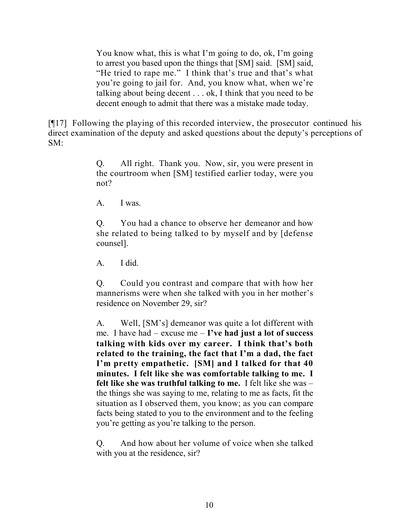You know what, this is what I'm going to do, ok, I'm going to arrest you based upon the things that [SM] said. [SM] said, "He tried to rape me." I think that's true and that's what you're going to jail for. And, you know what, when we're talking about being decent . . . ok, I think that you need to be decent enough to admit that there was a mistake made today.

[¶17] Following the playing of this recorded interview, the prosecutor continued his direct examination of the deputy and asked questions about the deputy's perceptions of SM:

> Q. All right. Thank you. Now, sir, you were present in the courtroom when [SM] testified earlier today, were you not?

A. I was.

Q. You had a chance to observe her demeanor and how she related to being talked to by myself and by [defense counsel].

A. I did.

Q. Could you contrast and compare that with how her mannerisms were when she talked with you in her mother's residence on November 29, sir?

A. Well, [SM's] demeanor was quite a lot different with me. I have had – excuse me – **I've had just a lot of success talking with kids over my career. I think that's both related to the training, the fact that I'm a dad, the fact I'm pretty empathetic. [SM] and I talked for that 40 minutes. I felt like she was comfortable talking to me. I felt like she was truthful talking to me.** I felt like she was – the things she was saying to me, relating to me as facts, fit the situation as I observed them, you know; as you can compare facts being stated to you to the environment and to the feeling you're getting as you're talking to the person.

Q. And how about her volume of voice when she talked with you at the residence, sir?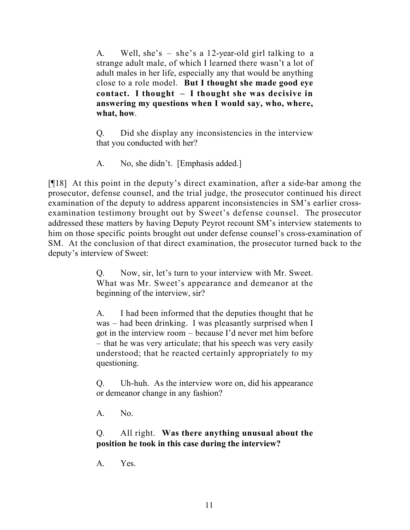A. Well, she's – she's a 12-year-old girl talking to a strange adult male, of which I learned there wasn't a lot of adult males in her life, especially any that would be anything close to a role model. **But I thought she made good eye contact. I thought – I thought she was decisive in answering my questions when I would say, who, where, what, how**.

Q. Did she display any inconsistencies in the interview that you conducted with her?

A. No, she didn't. [Emphasis added.]

[¶18] At this point in the deputy's direct examination, after a side-bar among the prosecutor, defense counsel, and the trial judge, the prosecutor continued his direct examination of the deputy to address apparent inconsistencies in SM's earlier crossexamination testimony brought out by Sweet's defense counsel. The prosecutor addressed these matters by having Deputy Peyrot recount SM's interview statements to him on those specific points brought out under defense counsel's cross-examination of SM. At the conclusion of that direct examination, the prosecutor turned back to the deputy's interview of Sweet:

> Q. Now, sir, let's turn to your interview with Mr. Sweet. What was Mr. Sweet's appearance and demeanor at the beginning of the interview, sir?

> A. I had been informed that the deputies thought that he was – had been drinking. I was pleasantly surprised when I got in the interview room – because I'd never met him before – that he was very articulate; that his speech was very easily understood; that he reacted certainly appropriately to my questioning.

> Q. Uh-huh. As the interview wore on, did his appearance or demeanor change in any fashion?

A. No.

# Q. All right. **Was there anything unusual about the position he took in this case during the interview?**

A. Yes.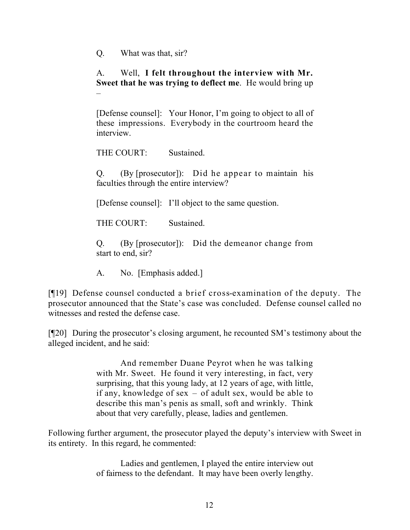Q. What was that, sir?

# A. Well, **I felt throughout the interview with Mr. Sweet that he was trying to deflect me**. He would bring up –

[Defense counsel]: Your Honor, I'm going to object to all of these impressions. Everybody in the courtroom heard the interview.

THE COURT: Sustained.

Q. (By [prosecutor]): Did he appear to maintain his faculties through the entire interview?

[Defense counsel]: I'll object to the same question.

THE COURT: Sustained.

Q. (By [prosecutor]): Did the demeanor change from start to end, sir?

A. No. [Emphasis added.]

[¶19] Defense counsel conducted a brief cross-examination of the deputy. The prosecutor announced that the State's case was concluded. Defense counsel called no witnesses and rested the defense case.

[¶20] During the prosecutor's closing argument, he recounted SM's testimony about the alleged incident, and he said:

> And remember Duane Peyrot when he was talking with Mr. Sweet. He found it very interesting, in fact, very surprising, that this young lady, at 12 years of age, with little, if any, knowledge of sex – of adult sex, would be able to describe this man's penis as small, soft and wrinkly. Think about that very carefully, please, ladies and gentlemen.

Following further argument, the prosecutor played the deputy's interview with Sweet in its entirety. In this regard, he commented:

> Ladies and gentlemen, I played the entire interview out of fairness to the defendant. It may have been overly lengthy.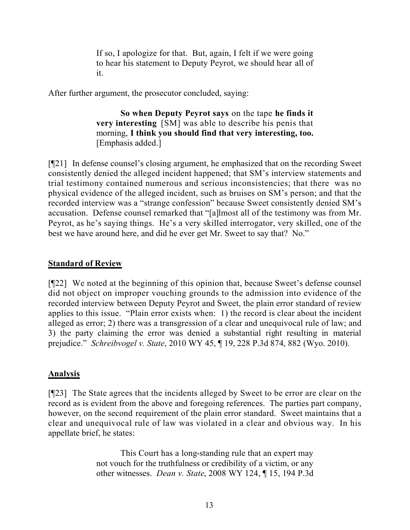If so, I apologize for that. But, again, I felt if we were going to hear his statement to Deputy Peyrot, we should hear all of it.

After further argument, the prosecutor concluded, saying:

**So when Deputy Peyrot says** on the tape **he finds it very interesting** [SM] was able to describe his penis that morning, **I think you should find that very interesting, too.** [Emphasis added.]

[¶21] In defense counsel's closing argument, he emphasized that on the recording Sweet consistently denied the alleged incident happened; that SM's interview statements and trial testimony contained numerous and serious inconsistencies; that there was no physical evidence of the alleged incident, such as bruises on SM's person; and that the recorded interview was a "strange confession" because Sweet consistently denied SM's accusation. Defense counsel remarked that "[a]lmost all of the testimony was from Mr. Peyrot, as he's saying things. He's a very skilled interrogator, very skilled, one of the best we have around here, and did he ever get Mr. Sweet to say that? No."

#### **Standard of Review**

[¶22] We noted at the beginning of this opinion that, because Sweet's defense counsel did not object on improper vouching grounds to the admission into evidence of the recorded interview between Deputy Peyrot and Sweet, the plain error standard of review applies to this issue. "Plain error exists when: 1) the record is clear about the incident alleged as error; 2) there was a transgression of a clear and unequivocal rule of law; and 3) the party claiming the error was denied a substantial right resulting in material prejudice." *Schreibvogel v. State*, 2010 WY 45, ¶ 19, 228 P.3d 874, 882 (Wyo. 2010).

## **Analysis**

[¶23] The State agrees that the incidents alleged by Sweet to be error are clear on the record as is evident from the above and foregoing references. The parties part company, however, on the second requirement of the plain error standard. Sweet maintains that a clear and unequivocal rule of law was violated in a clear and obvious way. In his appellate brief, he states:

> This Court has a long-standing rule that an expert may not vouch for the truthfulness or credibility of a victim, or any other witnesses. *Dean v. State*, 2008 WY 124, ¶ 15, 194 P.3d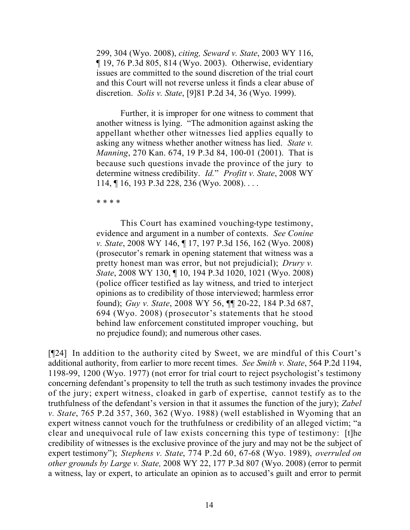299, 304 (Wyo. 2008), *citing, Seward v. State*, 2003 WY 116, ¶ 19, 76 P.3d 805, 814 (Wyo. 2003). Otherwise, evidentiary issues are committed to the sound discretion of the trial court and this Court will not reverse unless it finds a clear abuse of discretion. *Solis v. State*, [9]81 P.2d 34, 36 (Wyo. 1999).

Further, it is improper for one witness to comment that another witness is lying. "The admonition against asking the appellant whether other witnesses lied applies equally to asking any witness whether another witness has lied. *State v. Manning*, 270 Kan. 674, 19 P.3d 84, 100-01 (2001). That is because such questions invade the province of the jury to determine witness credibility. *Id.*" *Profitt v. State*, 2008 WY 114, ¶ 16, 193 P.3d 228, 236 (Wyo. 2008). . . .

\* \* \* \*

This Court has examined vouching-type testimony, evidence and argument in a number of contexts. *See Conine v. State*, 2008 WY 146, ¶ 17, 197 P.3d 156, 162 (Wyo. 2008) (prosecutor's remark in opening statement that witness was a pretty honest man was error, but not prejudicial); *Drury v. State*, 2008 WY 130, ¶ 10, 194 P.3d 1020, 1021 (Wyo. 2008) (police officer testified as lay witness, and tried to interject opinions as to credibility of those interviewed; harmless error found); *Guy v. State*, 2008 WY 56, ¶¶ 20-22, 184 P.3d 687, 694 (Wyo. 2008) (prosecutor's statements that he stood behind law enforcement constituted improper vouching, but no prejudice found); and numerous other cases.

[¶24] In addition to the authority cited by Sweet, we are mindful of this Court's additional authority, from earlier to more recent times. *See Smith v. State*, 564 P.2d 1194, 1198-99, 1200 (Wyo. 1977) (not error for trial court to reject psychologist's testimony concerning defendant's propensity to tell the truth as such testimony invades the province of the jury; expert witness, cloaked in garb of expertise, cannot testify as to the truthfulness of the defendant's version in that it assumes the function of the jury); *Zabel v. State*, 765 P.2d 357, 360, 362 (Wyo. 1988) (well established in Wyoming that an expert witness cannot vouch for the truthfulness or credibility of an alleged victim; "a clear and unequivocal rule of law exists concerning this type of testimony: [t]he credibility of witnesses is the exclusive province of the jury and may not be the subject of expert testimony"); *Stephens v. State*, 774 P.2d 60, 67-68 (Wyo. 1989), *overruled on other grounds by Large v. State,* 2008 WY 22, 177 P.3d 807 (Wyo. 2008) (error to permit a witness, lay or expert, to articulate an opinion as to accused's guilt and error to permit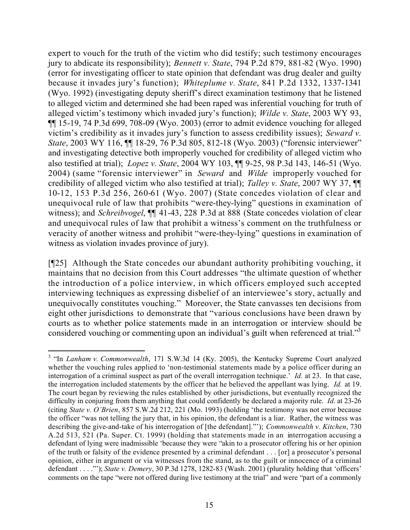expert to vouch for the truth of the victim who did testify; such testimony encourages jury to abdicate its responsibility); *Bennett v. State*, 794 P.2d 879, 881-82 (Wyo. 1990) (error for investigating officer to state opinion that defendant was drug dealer and guilty because it invades jury's function); *Whiteplume v. State*, 841 P.2d 1332, 1337-1341 (Wyo. 1992) (investigating deputy sheriff's direct examination testimony that he listened to alleged victim and determined she had been raped was inferential vouching for truth of alleged victim's testimony which invaded jury's function); *Wilde v. State*, 2003 WY 93, ¶¶ 15-19, 74 P.3d 699, 708-09 (Wyo. 2003) (error to admit evidence vouching for alleged victim's credibility as it invades jury's function to assess credibility issues); *Seward v. State*, 2003 WY 116,  $\P$  18-29, 76 P.3d 805, 812-18 (Wyo. 2003) ("forensic interviewer" and investigating detective both improperly vouched for credibility of alleged victim who also testified at trial); *Lopez v. State*, 2004 WY 103, ¶¶ 9-25, 98 P.3d 143, 146-51 (Wyo. 2004) (same "forensic interviewer" in *Seward* and *Wilde* improperly vouched for credibility of alleged victim who also testified at trial); *Talley v. State*, 2007 WY 37, ¶¶ 10-12, 153 P.3d 256, 260-61 (Wyo. 2007) (State concedes violation of clear and unequivocal rule of law that prohibits "were-they-lying" questions in examination of witness); and *Schreibvogel*, ¶¶ 41-43, 228 P.3d at 888 (State concedes violation of clear and unequivocal rules of law that prohibit a witness's comment on the truthfulness or veracity of another witness and prohibit "were-they-lying" questions in examination of witness as violation invades province of jury).

[¶25] Although the State concedes our abundant authority prohibiting vouching, it maintains that no decision from this Court addresses "the ultimate question of whether the introduction of a police interview, in which officers employed such accepted interviewing techniques as expressing disbelief of an interviewee's story, actually and unequivocally constitutes vouching." Moreover, the State canvasses ten decisions from eight other jurisdictions to demonstrate that "various conclusions have been drawn by courts as to whether police statements made in an interrogation or interview should be considered vouching or commenting upon an individual's guilt when referenced at trial."<sup>3</sup>

<sup>&</sup>lt;sup>3</sup> "In *Lanham v. Commonwealth*, 171 S.W.3d 14 (Ky. 2005), the Kentucky Supreme Court analyzed whether the vouching rules applied to 'non-testimonial statements made by a police officer during an interrogation of a criminal suspect as part of the overall interrogation technique.' *Id.* at 23. In that case, the interrogation included statements by the officer that he believed the appellant was lying. *Id.* at 19. The court began by reviewing the rules established by other jurisdictions, but eventually recognized the difficulty in conjuring from them anything that could confidently be declared a majority rule. *Id*. at 23-26 (citing *State v. O'Brien*, 857 S.W.2d 212, 221 (Mo. 1993) (holding 'the testimony was not error because the officer "was not telling the jury that, in his opinion, the defendant is a liar. Rather, the witness was describing the give-and-take of his interrogation of [the defendant]."'); *Commonwealth v. Kitchen*, 730 A.2d 513, 521 (Pa. Super. Ct. 1999) (holding that statements made in an interrogation accusing a defendant of lying were inadmissible 'because they were "akin to a prosecutor offering his or her opinion of the truth or falsity of the evidence presented by a criminal defendant . . . [or] a prosecutor's personal opinion, either in argument or via witnesses from the stand, as to the guilt or innocence of a criminal defendant . . . ."'); *State v. Demery*, 30 P.3d 1278, 1282-83 (Wash. 2001) (plurality holding that 'officers' comments on the tape "were not offered during live testimony at the trial" and were "part of a commonly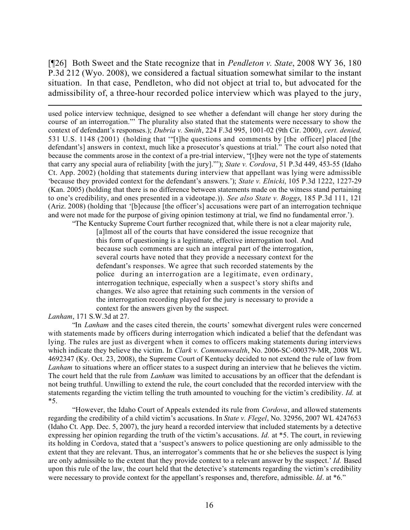[¶26] Both Sweet and the State recognize that in *Pendleton v. State*, 2008 WY 36, 180 P.3d 212 (Wyo. 2008), we considered a factual situation somewhat similar to the instant situation. In that case, Pendleton, who did not object at trial to, but advocated for the admissibility of, a three-hour recorded police interview which was played to the jury,

 $\overline{a}$ used police interview technique, designed to see whether a defendant will change her story during the course of an interrogation."' The plurality also stated that the statements were necessary to show the context of defendant's responses.); *Dubria v. Smith*, 224 F.3d 995, 1001-02 (9th Cir. 2000), *cert. denied,* 531 U.S. 1148 (2001) (holding that '"[t]he questions and comments by [the officer] placed [the defendant's] answers in context, much like a prosecutor's questions at trial." The court also noted that because the comments arose in the context of a pre-trial interview, "[t]hey were not the type of statements that carry any special aura of reliability [with the jury]."'); *State v. Cordova*, 51 P.3d 449, 453-55 (Idaho Ct. App. 2002) (holding that statements during interview that appellant was lying were admissible 'because they provided context for the defendant's answers.'); *State v. Elnicki*, 105 P.3d 1222, 1227-29 (Kan. 2005) (holding that there is no difference between statements made on the witness stand pertaining to one's credibility, and ones presented in a videotape.)). *See also State v. Boggs*, 185 P.3d 111, 121 (Ariz. 2008) (holding that '[b]ecause [the officer's] accusations were part of an interrogation technique and were not made for the purpose of giving opinion testimony at trial, we find no fundamental error.'). "The Kentucky Supreme Court further recognized that, while there is not a clear majority rule,

[a]lmost all of the courts that have considered the issue recognize that this form of questioning is a legitimate, effective interrogation tool. And because such comments are such an integral part of the interrogation, several courts have noted that they provide a necessary context for the defendant's responses. We agree that such recorded statements by the police during an interrogation are a legitimate, even ordinary, interrogation technique, especially when a suspect's story shifts and changes. We also agree that retaining such comments in the version of the interrogation recording played for the jury is necessary to provide a context for the answers given by the suspect.

*Lanham*, 171 S.W.3d at 27.

"In *Lanham* and the cases cited therein, the courts' somewhat divergent rules were concerned with statements made by officers during interrogation which indicated a belief that the defendant was lying. The rules are just as divergent when it comes to officers making statements during interviews which indicate they believe the victim. In *Clark v. Commonwealth*, No. 2006-SC-000379-MR, 2008 WL 4692347 (Ky. Oct. 23, 2008), the Supreme Court of Kentucky decided to not extend the rule of law from *Lanham* to situations where an officer states to a suspect during an interview that he believes the victim. The court held that the rule from *Lanham* was limited to accusations by an officer that the defendant is not being truthful. Unwilling to extend the rule, the court concluded that the recorded interview with the statements regarding the victim telling the truth amounted to vouching for the victim's credibility. *Id.* at \*5.

"However, the Idaho Court of Appeals extended its rule from *Cordova*, and allowed statements regarding the credibility of a child victim's accusations. In *State v. Flegel*, No. 32956, 2007 WL 4247653 (Idaho Ct. App. Dec. 5, 2007), the jury heard a recorded interview that included statements by a detective expressing her opinion regarding the truth of the victim's accusations. *Id.* at \*5. The court, in reviewing its holding in Cordova, stated that a 'suspect's answers to police questioning are only admissible to the extent that they are relevant. Thus, an interrogator's comments that he or she believes the suspect is lying are only admissible to the extent that they provide context to a relevant answer by the suspect.' *Id.* Based upon this rule of the law, the court held that the detective's statements regarding the victim's credibility were necessary to provide context for the appellant's responses and, therefore, admissible. *Id*. at \*6."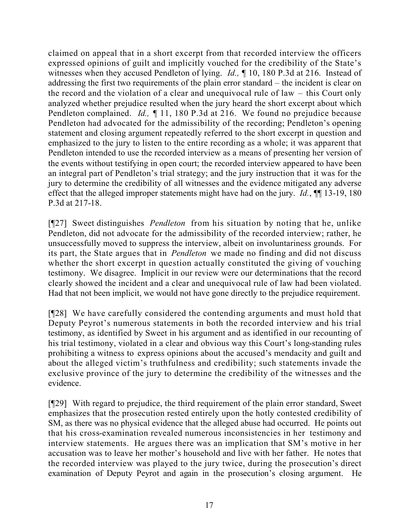claimed on appeal that in a short excerpt from that recorded interview the officers expressed opinions of guilt and implicitly vouched for the credibility of the State's witnesses when they accused Pendleton of lying. *Id.,* ¶ 10, 180 P.3d at 216. Instead of addressing the first two requirements of the plain error standard – the incident is clear on the record and the violation of a clear and unequivocal rule of law – this Court only analyzed whether prejudice resulted when the jury heard the short excerpt about which Pendleton complained. *Id.,* ¶ 11, 180 P.3d at 216. We found no prejudice because Pendleton had advocated for the admissibility of the recording; Pendleton's opening statement and closing argument repeatedly referred to the short excerpt in question and emphasized to the jury to listen to the entire recording as a whole; it was apparent that Pendleton intended to use the recorded interview as a means of presenting her version of the events without testifying in open court; the recorded interview appeared to have been an integral part of Pendleton's trial strategy; and the jury instruction that it was for the jury to determine the credibility of all witnesses and the evidence mitigated any adverse effect that the alleged improper statements might have had on the jury. *Id.*, **¶** 13-19, 180 P.3d at 217-18.

[¶27] Sweet distinguishes *Pendleton* from his situation by noting that he, unlike Pendleton, did not advocate for the admissibility of the recorded interview; rather, he unsuccessfully moved to suppress the interview, albeit on involuntariness grounds. For its part, the State argues that in *Pendleton* we made no finding and did not discuss whether the short excerpt in question actually constituted the giving of vouching testimony. We disagree. Implicit in our review were our determinations that the record clearly showed the incident and a clear and unequivocal rule of law had been violated. Had that not been implicit, we would not have gone directly to the prejudice requirement.

[¶28] We have carefully considered the contending arguments and must hold that Deputy Peyrot's numerous statements in both the recorded interview and his trial testimony, as identified by Sweet in his argument and as identified in our recounting of his trial testimony, violated in a clear and obvious way this Court's long-standing rules prohibiting a witness to express opinions about the accused's mendacity and guilt and about the alleged victim's truthfulness and credibility; such statements invade the exclusive province of the jury to determine the credibility of the witnesses and the evidence.

[¶29] With regard to prejudice, the third requirement of the plain error standard, Sweet emphasizes that the prosecution rested entirely upon the hotly contested credibility of SM, as there was no physical evidence that the alleged abuse had occurred. He points out that his cross-examination revealed numerous inconsistencies in her testimony and interview statements. He argues there was an implication that SM's motive in her accusation was to leave her mother's household and live with her father. He notes that the recorded interview was played to the jury twice, during the prosecution's direct examination of Deputy Peyrot and again in the prosecution's closing argument. He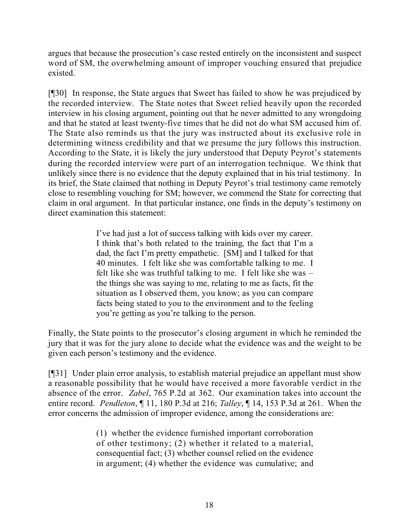argues that because the prosecution's case rested entirely on the inconsistent and suspect word of SM, the overwhelming amount of improper vouching ensured that prejudice existed.

[¶30] In response, the State argues that Sweet has failed to show he was prejudiced by the recorded interview. The State notes that Sweet relied heavily upon the recorded interview in his closing argument, pointing out that he never admitted to any wrongdoing and that he stated at least twenty-five times that he did not do what SM accused him of. The State also reminds us that the jury was instructed about its exclusive role in determining witness credibility and that we presume the jury follows this instruction. According to the State, it is likely the jury understood that Deputy Peyrot's statements during the recorded interview were part of an interrogation technique. We think that unlikely since there is no evidence that the deputy explained that in his trial testimony. In its brief, the State claimed that nothing in Deputy Peyrot's trial testimony came remotely close to resembling vouching for SM; however, we commend the State for correcting that claim in oral argument. In that particular instance, one finds in the deputy's testimony on direct examination this statement:

> I've had just a lot of success talking with kids over my career. I think that's both related to the training, the fact that I'm a dad, the fact I'm pretty empathetic. [SM] and I talked for that 40 minutes. I felt like she was comfortable talking to me. I felt like she was truthful talking to me. I felt like she was – the things she was saying to me, relating to me as facts, fit the situation as I observed them, you know; as you can compare facts being stated to you to the environment and to the feeling you're getting as you're talking to the person.

Finally, the State points to the prosecutor's closing argument in which he reminded the jury that it was for the jury alone to decide what the evidence was and the weight to be given each person's testimony and the evidence.

[¶31] Under plain error analysis, to establish material prejudice an appellant must show a reasonable possibility that he would have received a more favorable verdict in the absence of the error. *Zabel*, 765 P.2d at 362. Our examination takes into account the entire record. *Pendleton*, ¶ 11, 180 P.3d at 216; *Talley*, ¶ 14, 153 P.3d at 261. When the error concerns the admission of improper evidence, among the considerations are:

> (1) whether the evidence furnished important corroboration of other testimony; (2) whether it related to a material, consequential fact; (3) whether counsel relied on the evidence in argument; (4) whether the evidence was cumulative; and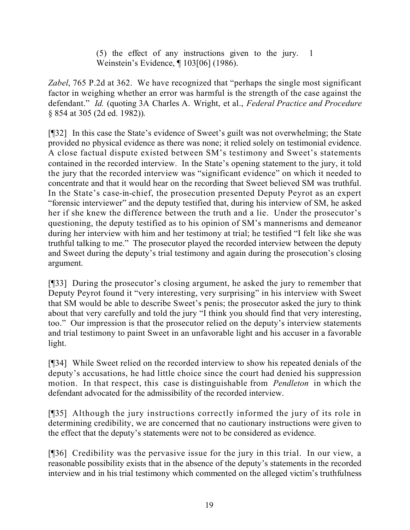(5) the effect of any instructions given to the jury. 1 Weinstein's Evidence, ¶ 103[06] (1986).

*Zabel*, 765 P.2d at 362. We have recognized that "perhaps the single most significant factor in weighing whether an error was harmful is the strength of the case against the defendant." *Id.* (quoting 3A Charles A. Wright, et al., *Federal Practice and Procedure* § 854 at 305 (2d ed. 1982)).

[¶32] In this case the State's evidence of Sweet's guilt was not overwhelming; the State provided no physical evidence as there was none; it relied solely on testimonial evidence. A close factual dispute existed between SM's testimony and Sweet's statements contained in the recorded interview. In the State's opening statement to the jury, it told the jury that the recorded interview was "significant evidence" on which it needed to concentrate and that it would hear on the recording that Sweet believed SM was truthful. In the State's case-in-chief, the prosecution presented Deputy Peyrot as an expert "forensic interviewer" and the deputy testified that, during his interview of SM, he asked her if she knew the difference between the truth and a lie. Under the prosecutor's questioning, the deputy testified as to his opinion of SM's mannerisms and demeanor during her interview with him and her testimony at trial; he testified "I felt like she was truthful talking to me." The prosecutor played the recorded interview between the deputy and Sweet during the deputy's trial testimony and again during the prosecution's closing argument.

[¶33] During the prosecutor's closing argument, he asked the jury to remember that Deputy Peyrot found it "very interesting, very surprising" in his interview with Sweet that SM would be able to describe Sweet's penis; the prosecutor asked the jury to think about that very carefully and told the jury "I think you should find that very interesting, too." Our impression is that the prosecutor relied on the deputy's interview statements and trial testimony to paint Sweet in an unfavorable light and his accuser in a favorable light.

[¶34] While Sweet relied on the recorded interview to show his repeated denials of the deputy's accusations, he had little choice since the court had denied his suppression motion. In that respect, this case is distinguishable from *Pendleton* in which the defendant advocated for the admissibility of the recorded interview.

[¶35] Although the jury instructions correctly informed the jury of its role in determining credibility, we are concerned that no cautionary instructions were given to the effect that the deputy's statements were not to be considered as evidence.

[¶36] Credibility was the pervasive issue for the jury in this trial. In our view, a reasonable possibility exists that in the absence of the deputy's statements in the recorded interview and in his trial testimony which commented on the alleged victim's truthfulness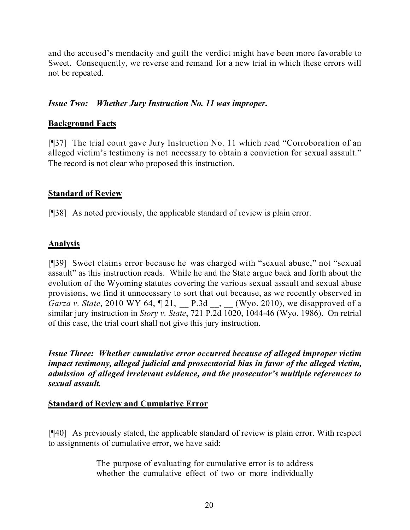and the accused's mendacity and guilt the verdict might have been more favorable to Sweet. Consequently, we reverse and remand for a new trial in which these errors will not be repeated.

# *Issue Two: Whether Jury Instruction No. 11 was improper***.**

# **Background Facts**

[¶37] The trial court gave Jury Instruction No. 11 which read "Corroboration of an alleged victim's testimony is not necessary to obtain a conviction for sexual assault." The record is not clear who proposed this instruction.

## **Standard of Review**

[¶38] As noted previously, the applicable standard of review is plain error.

# **Analysis**

[¶39] Sweet claims error because he was charged with "sexual abuse," not "sexual assault" as this instruction reads. While he and the State argue back and forth about the evolution of the Wyoming statutes covering the various sexual assault and sexual abuse provisions, we find it unnecessary to sort that out because, as we recently observed in *Garza v. State*, 2010 WY 64,  $\llbracket 21, \ldots, P.3d \ldots$ , (Wyo. 2010), we disapproved of a similar jury instruction in *Story v. State*, 721 P.2d 1020, 1044-46 (Wyo. 1986). On retrial of this case, the trial court shall not give this jury instruction.

*Issue Three: Whether cumulative error occurred because of alleged improper victim impact testimony, alleged judicial and prosecutorial bias in favor of the alleged victim, admission of alleged irrelevant evidence, and the prosecutor's multiple references to sexual assault.*

## **Standard of Review and Cumulative Error**

[¶40] As previously stated, the applicable standard of review is plain error. With respect to assignments of cumulative error, we have said:

> The purpose of evaluating for cumulative error is to address whether the cumulative effect of two or more individually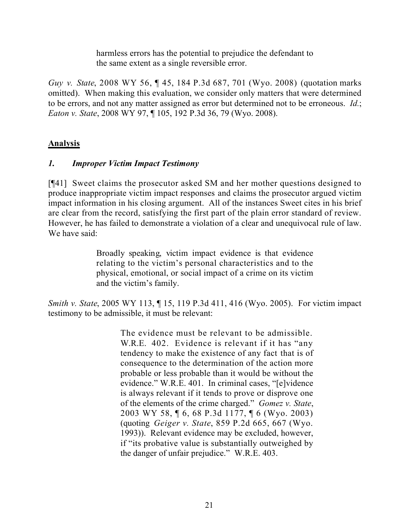harmless errors has the potential to prejudice the defendant to the same extent as a single reversible error.

*Guy v. State*, 2008 WY 56, ¶ 45, 184 P.3d 687, 701 (Wyo. 2008) (quotation marks omitted). When making this evaluation, we consider only matters that were determined to be errors, and not any matter assigned as error but determined not to be erroneous. *Id.*; *Eaton v. State*, 2008 WY 97, ¶ 105, 192 P.3d 36, 79 (Wyo. 2008).

# **Analysis**

# *1. Improper Victim Impact Testimony*

[¶41] Sweet claims the prosecutor asked SM and her mother questions designed to produce inappropriate victim impact responses and claims the prosecutor argued victim impact information in his closing argument. All of the instances Sweet cites in his brief are clear from the record, satisfying the first part of the plain error standard of review. However, he has failed to demonstrate a violation of a clear and unequivocal rule of law. We have said:

> Broadly speaking, victim impact evidence is that evidence relating to the victim's personal characteristics and to the physical, emotional, or social impact of a crime on its victim and the victim's family.

*Smith v. State*, 2005 WY 113, ¶ 15, 119 P.3d 411, 416 (Wyo. 2005). For victim impact testimony to be admissible, it must be relevant:

> The evidence must be relevant to be admissible. W.R.E. 402. Evidence is relevant if it has "any tendency to make the existence of any fact that is of consequence to the determination of the action more probable or less probable than it would be without the evidence." W.R.E. 401. In criminal cases, "[e]vidence is always relevant if it tends to prove or disprove one of the elements of the crime charged." *Gomez v. State*, 2003 WY 58, ¶ 6, 68 P.3d 1177, ¶ 6 (Wyo. 2003) (quoting *Geiger v. State*, 859 P.2d 665, 667 (Wyo. 1993)). Relevant evidence may be excluded, however, if "its probative value is substantially outweighed by the danger of unfair prejudice." W.R.E. 403.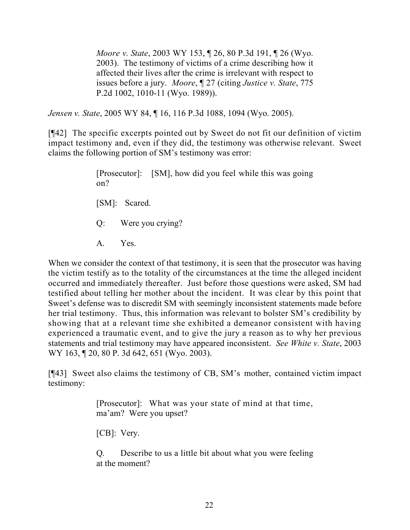*Moore v. State*, 2003 WY 153, ¶ 26, 80 P.3d 191, ¶ 26 (Wyo. 2003). The testimony of victims of a crime describing how it affected their lives after the crime is irrelevant with respect to issues before a jury. *Moore*, ¶ 27 (citing *Justice v. State*, 775 P.2d 1002, 1010-11 (Wyo. 1989)).

*Jensen v. State*, 2005 WY 84, ¶ 16, 116 P.3d 1088, 1094 (Wyo. 2005).

[¶42] The specific excerpts pointed out by Sweet do not fit our definition of victim impact testimony and, even if they did, the testimony was otherwise relevant. Sweet claims the following portion of SM's testimony was error:

> [Prosecutor]: [SM], how did you feel while this was going on? [SM]: Scared. Q: Were you crying? A. Yes.

When we consider the context of that testimony, it is seen that the prosecutor was having the victim testify as to the totality of the circumstances at the time the alleged incident occurred and immediately thereafter. Just before those questions were asked, SM had testified about telling her mother about the incident. It was clear by this point that Sweet's defense was to discredit SM with seemingly inconsistent statements made before her trial testimony. Thus, this information was relevant to bolster SM's credibility by showing that at a relevant time she exhibited a demeanor consistent with having experienced a traumatic event, and to give the jury a reason as to why her previous statements and trial testimony may have appeared inconsistent. *See White v. State*, 2003 WY 163, 120, 80 P. 3d 642, 651 (Wyo. 2003).

[¶43] Sweet also claims the testimony of CB, SM's mother, contained victim impact testimony:

> [Prosecutor]: What was your state of mind at that time, ma'am? Were you upset?

[CB]: Very.

Q. Describe to us a little bit about what you were feeling at the moment?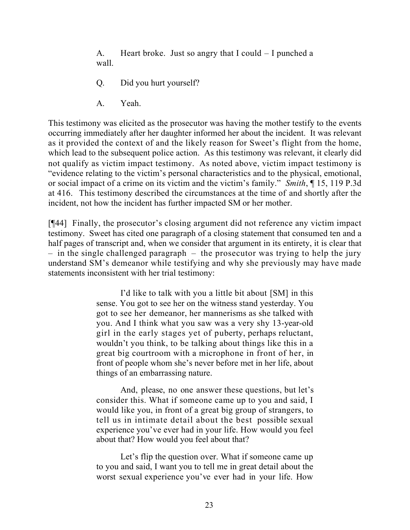A. Heart broke. Just so angry that I could – I punched a wall.

- Q. Did you hurt yourself?
- A. Yeah.

This testimony was elicited as the prosecutor was having the mother testify to the events occurring immediately after her daughter informed her about the incident. It was relevant as it provided the context of and the likely reason for Sweet's flight from the home, which lead to the subsequent police action. As this testimony was relevant, it clearly did not qualify as victim impact testimony. As noted above, victim impact testimony is "evidence relating to the victim's personal characteristics and to the physical, emotional, or social impact of a crime on its victim and the victim's family." *Smith*, ¶ 15, 119 P.3d at 416. This testimony described the circumstances at the time of and shortly after the incident, not how the incident has further impacted SM or her mother.

[¶44] Finally, the prosecutor's closing argument did not reference any victim impact testimony. Sweet has cited one paragraph of a closing statement that consumed ten and a half pages of transcript and, when we consider that argument in its entirety, it is clear that – in the single challenged paragraph – the prosecutor was trying to help the jury understand SM's demeanor while testifying and why she previously may have made statements inconsistent with her trial testimony:

> I'd like to talk with you a little bit about [SM] in this sense. You got to see her on the witness stand yesterday. You got to see her demeanor, her mannerisms as she talked with you. And I think what you saw was a very shy 13-year-old girl in the early stages yet of puberty, perhaps reluctant, wouldn't you think, to be talking about things like this in a great big courtroom with a microphone in front of her, in front of people whom she's never before met in her life, about things of an embarrassing nature.

> And, please, no one answer these questions, but let's consider this. What if someone came up to you and said, I would like you, in front of a great big group of strangers, to tell us in intimate detail about the best possible sexual experience you've ever had in your life. How would you feel about that? How would you feel about that?

> Let's flip the question over. What if someone came up to you and said, I want you to tell me in great detail about the worst sexual experience you've ever had in your life. How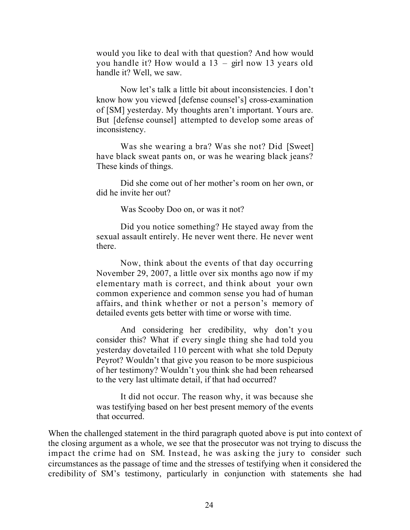would you like to deal with that question? And how would you handle it? How would a 13 – girl now 13 years old handle it? Well, we saw.

Now let's talk a little bit about inconsistencies. I don't know how you viewed [defense counsel's] cross-examination of [SM] yesterday. My thoughts aren't important. Yours are. But [defense counsel] attempted to develop some areas of inconsistency.

Was she wearing a bra? Was she not? Did [Sweet] have black sweat pants on, or was he wearing black jeans? These kinds of things.

Did she come out of her mother's room on her own, or did he invite her out?

Was Scooby Doo on, or was it not?

Did you notice something? He stayed away from the sexual assault entirely. He never went there. He never went there.

Now, think about the events of that day occurring November 29, 2007, a little over six months ago now if my elementary math is correct, and think about your own common experience and common sense you had of human affairs, and think whether or not a person's memory of detailed events gets better with time or worse with time.

And considering her credibility, why don't you consider this? What if every single thing she had told you yesterday dovetailed 110 percent with what she told Deputy Peyrot? Wouldn't that give you reason to be more suspicious of her testimony? Wouldn't you think she had been rehearsed to the very last ultimate detail, if that had occurred?

It did not occur. The reason why, it was because she was testifying based on her best present memory of the events that occurred.

When the challenged statement in the third paragraph quoted above is put into context of the closing argument as a whole, we see that the prosecutor was not trying to discuss the impact the crime had on SM. Instead, he was asking the jury to consider such circumstances as the passage of time and the stresses of testifying when it considered the credibility of SM's testimony, particularly in conjunction with statements she had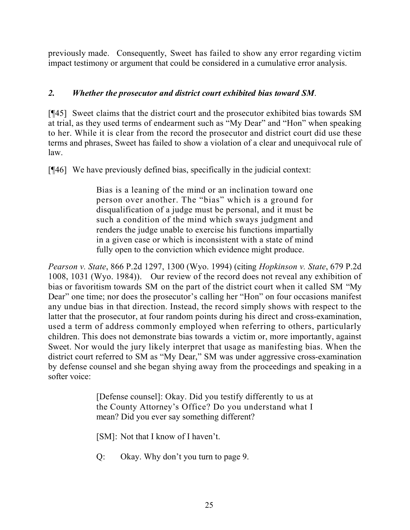previously made. Consequently, Sweet has failed to show any error regarding victim impact testimony or argument that could be considered in a cumulative error analysis.

# *2. Whether the prosecutor and district court exhibited bias toward SM*.

[¶45] Sweet claims that the district court and the prosecutor exhibited bias towards SM at trial, as they used terms of endearment such as "My Dear" and "Hon" when speaking to her. While it is clear from the record the prosecutor and district court did use these terms and phrases, Sweet has failed to show a violation of a clear and unequivocal rule of law.

[¶46] We have previously defined bias, specifically in the judicial context:

Bias is a leaning of the mind or an inclination toward one person over another. The "bias" which is a ground for disqualification of a judge must be personal, and it must be such a condition of the mind which sways judgment and renders the judge unable to exercise his functions impartially in a given case or which is inconsistent with a state of mind fully open to the conviction which evidence might produce.

*Pearson v. State*, 866 P.2d 1297, 1300 (Wyo. 1994) (citing *Hopkinson v. State*, 679 P.2d 1008, 1031 (Wyo. 1984)). Our review of the record does not reveal any exhibition of bias or favoritism towards SM on the part of the district court when it called SM "My Dear" one time; nor does the prosecutor's calling her "Hon" on four occasions manifest any undue bias in that direction. Instead, the record simply shows with respect to the latter that the prosecutor, at four random points during his direct and cross-examination, used a term of address commonly employed when referring to others, particularly children. This does not demonstrate bias towards a victim or, more importantly, against Sweet. Nor would the jury likely interpret that usage as manifesting bias. When the district court referred to SM as "My Dear," SM was under aggressive cross-examination by defense counsel and she began shying away from the proceedings and speaking in a softer voice:

> [Defense counsel]: Okay. Did you testify differently to us at the County Attorney's Office? Do you understand what I mean? Did you ever say something different?

[SM]: Not that I know of I haven't.

Q: Okay. Why don't you turn to page 9.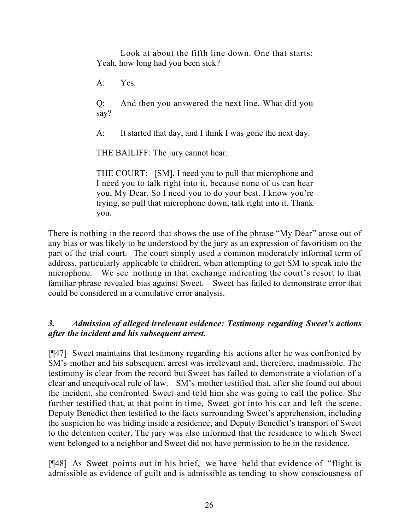Look at about the fifth line down. One that starts: Yeah, how long had you been sick?

A: Yes.

Q: And then you answered the next line. What did you say?

A: It started that day, and I think I was gone the next day.

THE BAILIFF: The jury cannot hear.

THE COURT: [SM], I need you to pull that microphone and I need you to talk right into it, because none of us can hear you, My Dear. So I need you to do your best. I know you're trying, so pull that microphone down, talk right into it. Thank you.

There is nothing in the record that shows the use of the phrase "My Dear" arose out of any bias or was likely to be understood by the jury as an expression of favoritism on the part of the trial court. The court simply used a common moderately informal term of address, particularly applicable to children, when attempting to get SM to speak into the microphone. We see nothing in that exchange indicating the court's resort to that familiar phrase revealed bias against Sweet. Sweet has failed to demonstrate error that could be considered in a cumulative error analysis.

# *3. Admission of alleged irrelevant evidence: Testimony regarding Sweet's actions after the incident and his subsequent arrest.*

[¶47] Sweet maintains that testimony regarding his actions after he was confronted by SM's mother and his subsequent arrest was irrelevant and, therefore, inadmissible. The testimony is clear from the record but Sweet has failed to demonstrate a violation of a clear and unequivocal rule of law. SM's mother testified that, after she found out about the incident, she confronted Sweet and told him she was going to call the police. She further testified that, at that point in time, Sweet got into his car and left the scene. Deputy Benedict then testified to the facts surrounding Sweet's apprehension, including the suspicion he was hiding inside a residence, and Deputy Benedict's transport of Sweet to the detention center. The jury was also informed that the residence to which Sweet went belonged to a neighbor and Sweet did not have permission to be in the residence.

[¶48] As Sweet points out in his brief, we have held that evidence of "flight is admissible as evidence of guilt and is admissible as tending to show consciousness of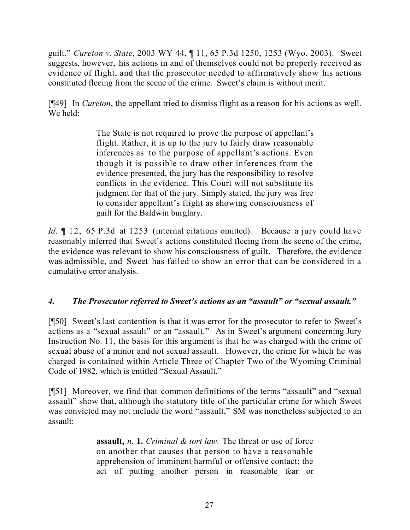guilt." *Cureton v. State*, 2003 WY 44, ¶ 11, 65 P.3d 1250, 1253 (Wyo. 2003). Sweet suggests, however, his actions in and of themselves could not be properly received as evidence of flight, and that the prosecutor needed to affirmatively show his actions constituted fleeing from the scene of the crime. Sweet's claim is without merit.

[¶49] In *Cureton*, the appellant tried to dismiss flight as a reason for his actions as well. We held:

> The State is not required to prove the purpose of appellant's flight. Rather, it is up to the jury to fairly draw reasonable inferences as to the purpose of appellant's actions. Even though it is possible to draw other inferences from the evidence presented, the jury has the responsibility to resolve conflicts in the evidence. This Court will not substitute its judgment for that of the jury. Simply stated, the jury was free to consider appellant's flight as showing consciousness of guilt for the Baldwin burglary.

*Id*. 12, 65 P.3d at 1253 (internal citations omitted). Because a jury could have reasonably inferred that Sweet's actions constituted fleeing from the scene of the crime, the evidence was relevant to show his consciousness of guilt. Therefore, the evidence was admissible, and Sweet has failed to show an error that can be considered in a cumulative error analysis.

# *4. The Prosecutor referred to Sweet's actions as an "assault" or "sexual assault."*

[¶50] Sweet's last contention is that it was error for the prosecutor to refer to Sweet's actions as a "sexual assault" or an "assault." As in Sweet's argument concerning Jury Instruction No. 11, the basis for this argument is that he was charged with the crime of sexual abuse of a minor and not sexual assault. However, the crime for which he was charged is contained within Article Three of Chapter Two of the Wyoming Criminal Code of 1982, which is entitled "Sexual Assault."

[¶51] Moreover, we find that common definitions of the terms "assault" and "sexual assault" show that, although the statutory title of the particular crime for which Sweet was convicted may not include the word "assault," SM was nonetheless subjected to an assault:

> **assault,** *n*. **1.** *Criminal & tort law.* The threat or use of force on another that causes that person to have a reasonable apprehension of imminent harmful or offensive contact; the act of putting another person in reasonable fear or